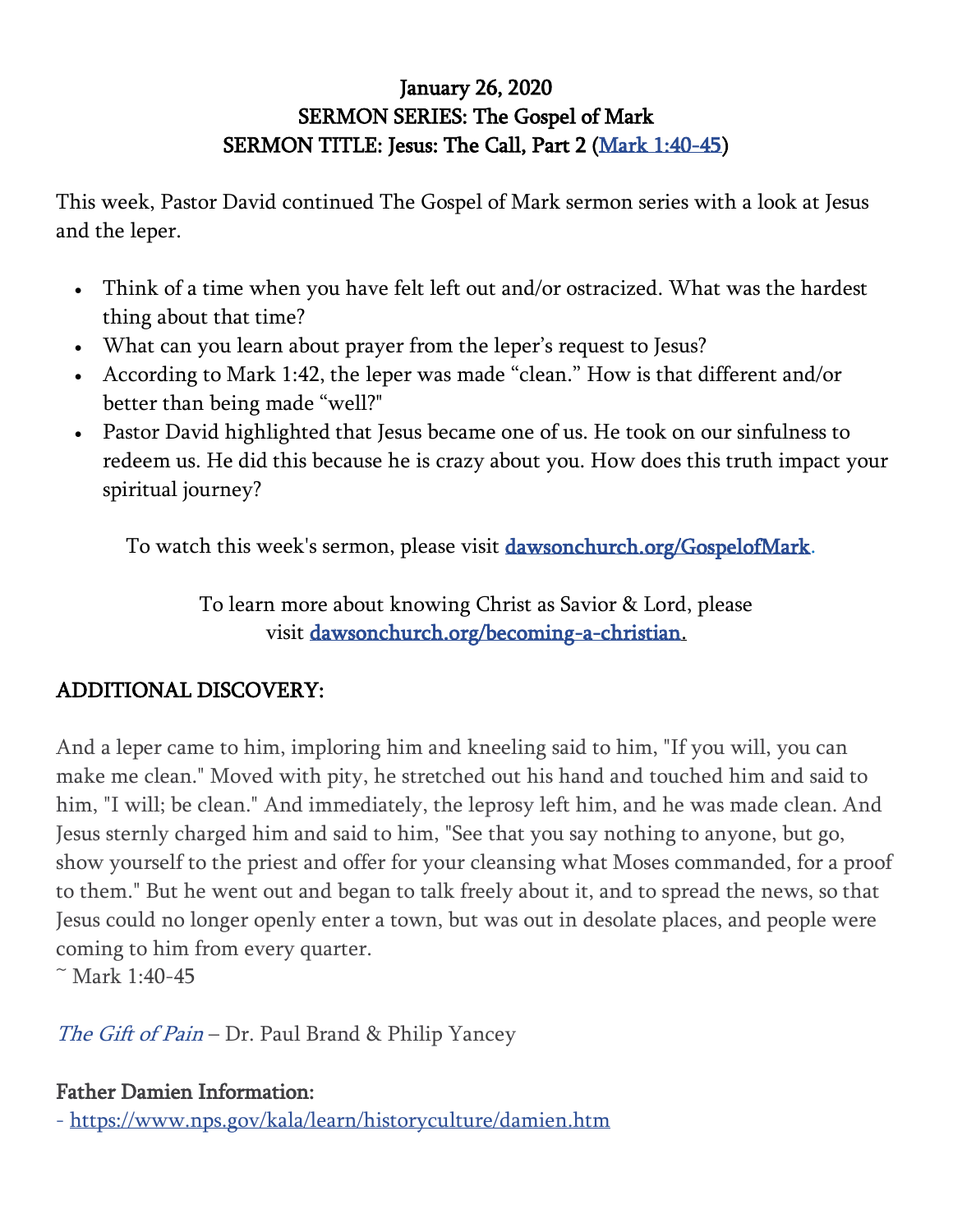## January 26, 2020 SERMON SERIES: The Gospel of Mark SERMON TITLE: Jesus: The Call, Part 2 [\(Mark 1:40-45\)](https://www.biblegateway.com/passage/?search=mark+1%3A40-45&version=ESV)

This week, Pastor David continued The Gospel of Mark sermon series with a look at Jesus and the leper.

- Think of a time when you have felt left out and/or ostracized. What was the hardest thing about that time?
- What can you learn about prayer from the leper's request to Jesus?
- According to Mark 1:42, the leper was made "clean." How is that different and/or better than being made "well?"
- Pastor David highlighted that Jesus became one of us. He took on our sinfulness to redeem us. He did this because he is crazy about you. How does this truth impact your spiritual journey?

To watch this week's sermon, please visit [dawsonchurch.org/GospelofMark.](http://dawsonchurch.org/GospelofMark)

To learn more about knowing Christ as Savior & Lord, please visit [dawsonchurch.org/becoming-a-christian.](https://www.dawsonchurch.org/becoming-a-christian)

## ADDITIONAL DISCOVERY:

And a leper came to him, imploring him and kneeling said to him, "If you will, you can make me clean." Moved with pity, he stretched out his hand and touched him and said to him, "I will; be clean." And immediately, the leprosy left him, and he was made clean. And Jesus sternly charged him and said to him, "See that you say nothing to anyone, but go, show yourself to the priest and offer for your cleansing what Moses commanded, for a proof to them." But he went out and began to talk freely about it, and to spread the news, so that Jesus could no longer openly enter a town, but was out in desolate places, and people were coming to him from every quarter.

 $~^{\sim}$  Mark 1:40-45

[The Gift of Pain](https://www.amazon.com/Gift-Pain-Paul-Brand/dp/0310221447) – Dr. Paul Brand & Philip Yancey

## Father Damien Information:

- <https://www.nps.gov/kala/learn/historyculture/damien.htm>